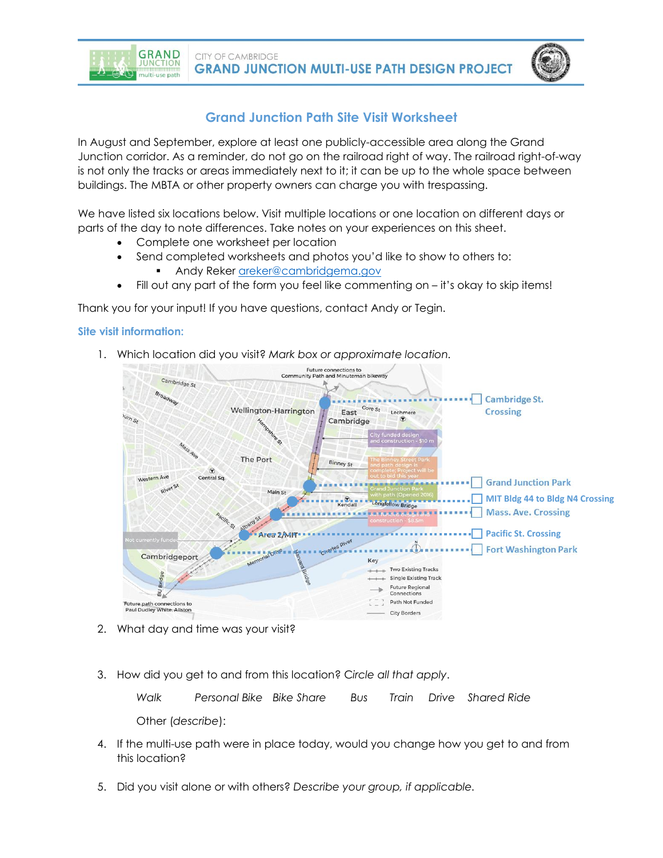**CITY OF CAMBRIDGE GRAND JUNCTION MULTI-USE PATH DESIGN PROJECT** 

# **Grand Junction Path Site Visit Worksheet**

In August and September, explore at least one publicly-accessible area along the Grand Junction corridor. As a reminder, do not go on the railroad right of way. The railroad right-of-way is not only the tracks or areas immediately next to it; it can be up to the whole space between buildings. The MBTA or other property owners can charge you with trespassing.

We have listed six locations below. Visit multiple locations or one location on different days or parts of the day to note differences. Take notes on your experiences on this sheet.

- Complete one worksheet per location
- Send completed worksheets and photos you'd like to show to others to:
	- Andy Reker [areker@cambridgema.gov](mailto:areker@cambridgema.gov)
- Fill out any part of the form you feel like commenting on it's okay to skip items!

Thank you for your input! If you have questions, contact Andy or Tegin.

## **Site visit information:**

**GRAND** 

**UNCTION** 

ulti-use path

1. Which location did you visit? *Mark box or approximate location.*



- 2. What day and time was your visit?
- 3. How did you get to and from this location? C*ircle all that apply*.

*Walk Personal Bike Bike Share Bus Train Drive Shared Ride* Other (*describe*):

- 4. If the multi-use path were in place today, would you change how you get to and from this location?
- 5. Did you visit alone or with others? *Describe your group, if applicable.*